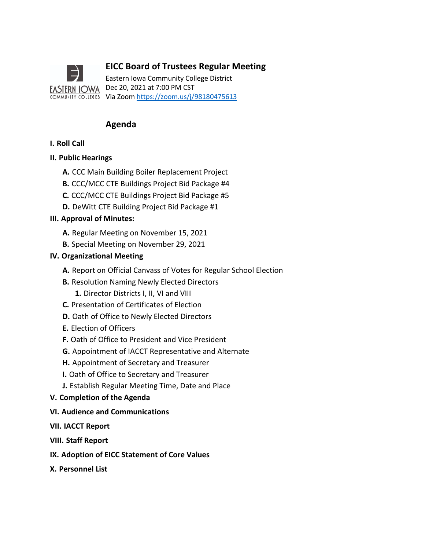

# **EICC Board of Trustees Regular Meeting**

Eastern Iowa Community College District Dec 20, 2021 at 7:00 PM CST Via Zoom <u>https://zoom.us/j/98180475613</u>

# **Agenda**

# **I. Roll Call**

## **II. Public Hearings**

- **A.** CCC Main Building Boiler Replacement Project
- **B.** CCC/MCC CTE Buildings Project Bid Package #4
- **C.** CCC/MCC CTE Buildings Project Bid Package #5
- **D.** DeWitt CTE Building Project Bid Package #1

## **III. Approval of Minutes:**

- **A.** Regular Meeting on November 15, 2021
- **B.** Special Meeting on November 29, 2021

## **IV. Organizational Meeting**

- **A.** Report on Official Canvass of Votes for Regular School Election
- **B.** Resolution Naming Newly Elected Directors
	- **1.** Director Districts I, II, VI and VIII
- **C.** Presentation of Certificates of Election
- **D.** Oath of Office to Newly Elected Directors
- **E.** Election of Officers
- **F.** Oath of Office to President and Vice President
- **G.** Appointment of IACCT Representative and Alternate
- **H.** Appointment of Secretary and Treasurer
- **I.** Oath of Office to Secretary and Treasurer
- **J.** Establish Regular Meeting Time, Date and Place
- **V. Completion of the Agenda**
- **VI. Audience and Communications**
- **VII. IACCT Report**
- **VIII. Staff Report**
- **IX. Adoption of EICC Statement of Core Values**
- **X. Personnel List**